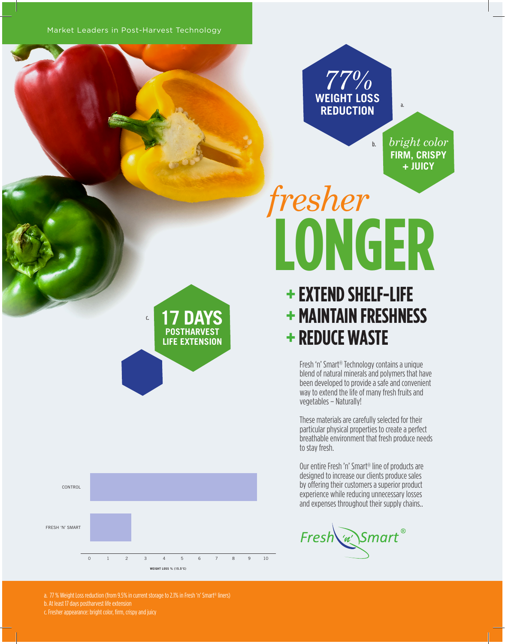Market Leaders in Post-Harvest Technology

## *77%* **WEIGHT LOSS REDUCTION**

**FIRM, CRISPY + JUICY** *bright color*

# **LONGER** *fresher*

b.

### **+ EXTEND SHELF-LIFE + MAINTAIN FRESHNESS + REDUCE WASTE**

Fresh 'n' Smart® Technology contains a unique blend of natural minerals and polymers that have been developed to provide a safe and convenient way to extend the life of many fresh fruits and vegetables – Naturally!

These materials are carefully selected for their particular physical properties to create a perfect breathable environment that fresh produce needs to stay fresh.

Our entire Fresh 'n' Smart® line of products are designed to increase our clients produce sales by offering their customers a superior product experience while reducing unnecessary losses and expenses throughout their supply chains..

Fresh w Smart®

c. **17 DAYS POSTHARVEST LIFE EXTENSION**



a. 77 % Weight Loss reduction (from 9.5% in current storage to 2.1% in Fresh 'n' Smart® liners) b. At least 17 days postharvest life extension c. Fresher appearance: bright color, firm, crispy and juicy